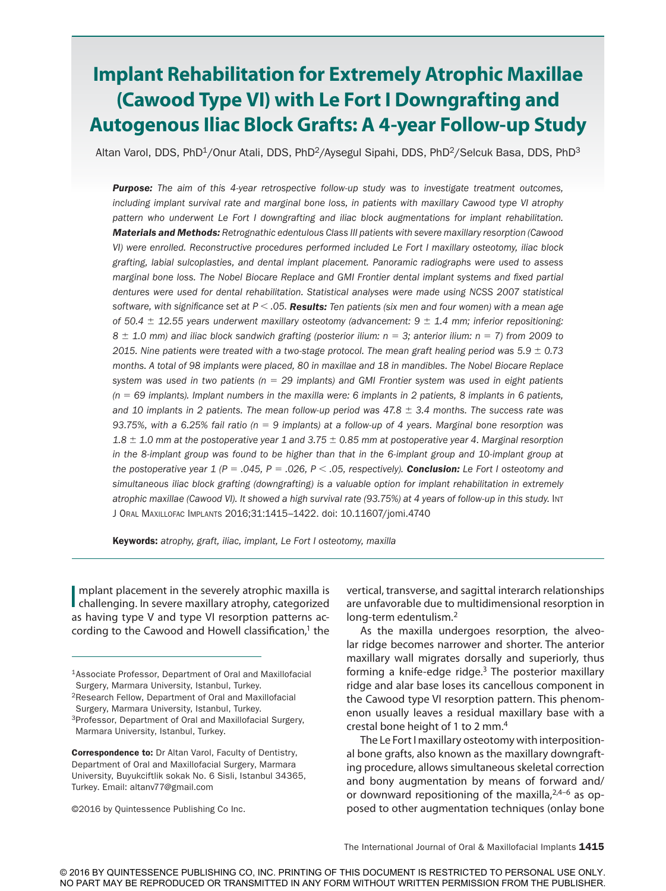# **Implant Rehabilitation for Extremely Atrophic Maxillae (Cawood Type VI) with Le Fort I Downgrafting and Autogenous Iliac Block Grafts: A 4-year Follow-up Study**

Altan Varol, DDS, PhD<sup>1</sup>/Onur Atali, DDS, PhD<sup>2</sup>/Aysegul Sipahi, DDS, PhD<sup>2</sup>/Selcuk Basa, DDS, PhD<sup>3</sup>

*Purpose: The aim of this 4-year retrospective follow-up study was to investigate treatment outcomes, including implant survival rate and marginal bone loss, in patients with maxillary Cawood type VI atrophy pattern who underwent Le Fort I downgrafting and iliac block augmentations for implant rehabilitation. Materials and Methods: Retrognathic edentulous Class III patients with severe maxillary resorption (Cawood VI) were enrolled. Reconstructive procedures performed included Le Fort I maxillary osteotomy, iliac block grafting, labial sulcoplasties, and dental implant placement. Panoramic radiographs were used to assess marginal bone loss. The Nobel Biocare Replace and GMI Frontier dental implant systems and fixed partial dentures were used for dental rehabilitation. Statistical analyses were made using NCSS 2007 statistical software, with significance set at P* < *.05. Results: Ten patients (six men and four women) with a mean age of 50.4* ± *12.55 years underwent maxillary osteotomy (advancement: 9* ± *1.4 mm; inferior repositioning: 8* ± *1.0 mm) and iliac block sandwich grafting (posterior ilium: n* = *3; anterior ilium: n* = *7) from 2009 to 2015. Nine patients were treated with a two-stage protocol. The mean graft healing period was 5.9* ± *0.73 months. A total of 98 implants were placed, 80 in maxillae and 18 in mandibles. The Nobel Biocare Replace system was used in two patients (n* = *29 implants) and GMI Frontier system was used in eight patients (n* = *69 implants). Implant numbers in the maxilla were: 6 implants in 2 patients, 8 implants in 6 patients, and 10 implants in 2 patients. The mean follow-up period was 47.8* ± *3.4 months. The success rate was 93.75%, with a 6.25% fail ratio (n* = *9 implants) at a follow-up of 4 years. Marginal bone resorption was 1.8* ± *1.0 mm at the postoperative year 1 and 3.75* ± *0.85 mm at postoperative year 4. Marginal resorption*  in the 8-implant group was found to be higher than that in the 6-implant group and 10-implant group at *the postoperative year 1 (P* = *.045, P* = *.026, P* < *.05, respectively). Conclusion: Le Fort I osteotomy and simultaneous iliac block grafting (downgrafting) is a valuable option for implant rehabilitation in extremely*  atrophic maxillae (Cawood VI). It showed a high survival rate (93.75%) at 4 years of follow-up in this study. Int J Oral Maxillofac Implants 2016;31:1415–1422. doi: 10.11607/jomi.4740

Keywords: *atrophy, graft, iliac, implant, Le Fort I osteotomy, maxilla*

I mplant placement in the severely atrophic maxilla is<br>challenging. In severe maxillary atrophy, categorized mplant placement in the severely atrophic maxilla is as having type V and type VI resorption patterns according to the Cawood and Howell classification, $1$  the

vertical, transverse, and sagittal interarch relationships are unfavorable due to multidimensional resorption in long-term edentulism.2

As the maxilla undergoes resorption, the alveolar ridge becomes narrower and shorter. The anterior maxillary wall migrates dorsally and superiorly, thus forming a knife-edge ridge. $3$  The posterior maxillary ridge and alar base loses its cancellous component in the Cawood type VI resorption pattern. This phenomenon usually leaves a residual maxillary base with a crestal bone height of 1 to 2 mm.4

The Le Fort I maxillary osteotomy with interpositional bone grafts, also known as the maxillary downgrafting procedure, allows simultaneous skeletal correction and bony augmentation by means of forward and/ or downward repositioning of the maxilla,  $2,4-6$  as opposed to other augmentation techniques (onlay bone

<sup>1</sup>Associate Professor, Department of Oral and Maxillofacial Surgery, Marmara University, Istanbul, Turkey.

<sup>2</sup>Research Fellow, Department of Oral and Maxillofacial

Surgery, Marmara University, Istanbul, Turkey.

<sup>3</sup>Professor, Department of Oral and Maxillofacial Surgery, Marmara University, Istanbul, Turkey.

Correspondence to: Dr Altan Varol, Faculty of Dentistry, Department of Oral and Maxillofacial Surgery, Marmara University, Buyukciftlik sokak No. 6 Sisli, Istanbul 34365, Turkey. Email: altanv77@gmail.com

<sup>©2016</sup> by Quintessence Publishing Co Inc.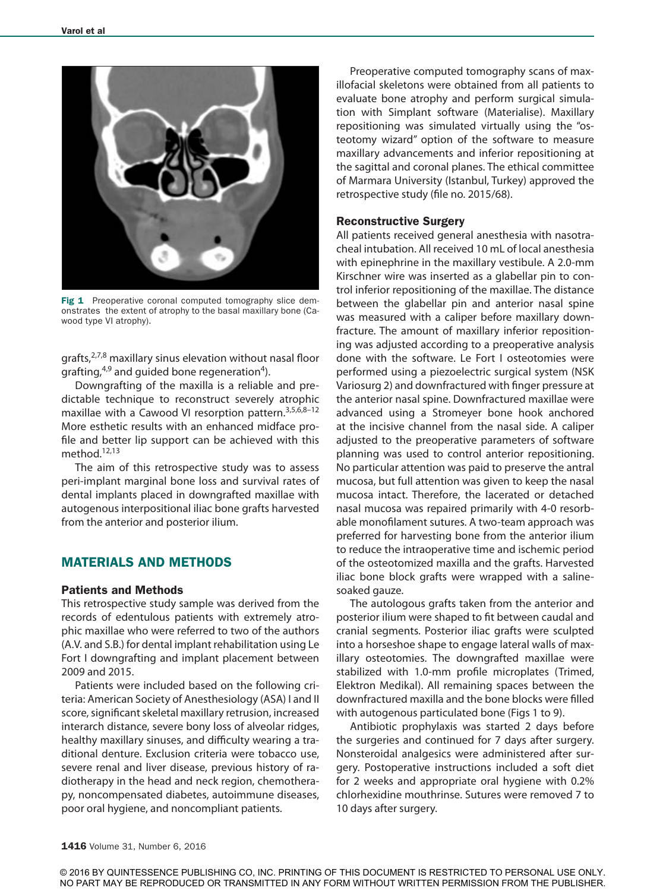

Fig 1 Preoperative coronal computed tomography slice demonstrates the extent of atrophy to the basal maxillary bone (Cawood type VI atrophy).

grafts,<sup>2,7,8</sup> maxillary sinus elevation without nasal floor grafting, $4,9$  and guided bone regeneration<sup>4</sup>).

Downgrafting of the maxilla is a reliable and predictable technique to reconstruct severely atrophic maxillae with a Cawood VI resorption pattern.3,5,6,8–12 More esthetic results with an enhanced midface profile and better lip support can be achieved with this method.<sup>12,13</sup>

The aim of this retrospective study was to assess peri-implant marginal bone loss and survival rates of dental implants placed in downgrafted maxillae with autogenous interpositional iliac bone grafts harvested from the anterior and posterior ilium.

# MATERIALS AND METHODS

## Patients and Methods

This retrospective study sample was derived from the records of edentulous patients with extremely atrophic maxillae who were referred to two of the authors (A.V. and S.B.) for dental implant rehabilitation using Le Fort I downgrafting and implant placement between 2009 and 2015.

Patients were included based on the following criteria: American Society of Anesthesiology (ASA) I and II score, significant skeletal maxillary retrusion, increased interarch distance, severe bony loss of alveolar ridges, healthy maxillary sinuses, and difficulty wearing a traditional denture. Exclusion criteria were tobacco use, severe renal and liver disease, previous history of radiotherapy in the head and neck region, chemotherapy, noncompensated diabetes, autoimmune diseases, poor oral hygiene, and noncompliant patients.

Preoperative computed tomography scans of maxillofacial skeletons were obtained from all patients to evaluate bone atrophy and perform surgical simulation with Simplant software (Materialise). Maxillary repositioning was simulated virtually using the "osteotomy wizard" option of the software to measure maxillary advancements and inferior repositioning at the sagittal and coronal planes. The ethical committee of Marmara University (Istanbul, Turkey) approved the retrospective study (file no. 2015/68).

## Reconstructive Surgery

All patients received general anesthesia with nasotracheal intubation. All received 10 mL of local anesthesia with epinephrine in the maxillary vestibule. A 2.0-mm Kirschner wire was inserted as a glabellar pin to control inferior repositioning of the maxillae. The distance between the glabellar pin and anterior nasal spine was measured with a caliper before maxillary downfracture. The amount of maxillary inferior repositioning was adjusted according to a preoperative analysis done with the software. Le Fort I osteotomies were performed using a piezoelectric surgical system (NSK Variosurg 2) and downfractured with finger pressure at the anterior nasal spine. Downfractured maxillae were advanced using a Stromeyer bone hook anchored at the incisive channel from the nasal side. A caliper adjusted to the preoperative parameters of software planning was used to control anterior repositioning. No particular attention was paid to preserve the antral mucosa, but full attention was given to keep the nasal mucosa intact. Therefore, the lacerated or detached nasal mucosa was repaired primarily with 4-0 resorbable monofilament sutures. A two-team approach was preferred for harvesting bone from the anterior ilium to reduce the intraoperative time and ischemic period of the osteotomized maxilla and the grafts. Harvested iliac bone block grafts were wrapped with a salinesoaked gauze.

The autologous grafts taken from the anterior and posterior ilium were shaped to fit between caudal and cranial segments. Posterior iliac grafts were sculpted into a horseshoe shape to engage lateral walls of maxillary osteotomies. The downgrafted maxillae were stabilized with 1.0-mm profile microplates (Trimed, Elektron Medikal). All remaining spaces between the downfractured maxilla and the bone blocks were filled with autogenous particulated bone (Figs 1 to 9).

Antibiotic prophylaxis was started 2 days before the surgeries and continued for 7 days after surgery. Nonsteroidal analgesics were administered after surgery. Postoperative instructions included a soft diet for 2 weeks and appropriate oral hygiene with 0.2% chlorhexidine mouthrinse. Sutures were removed 7 to 10 days after surgery.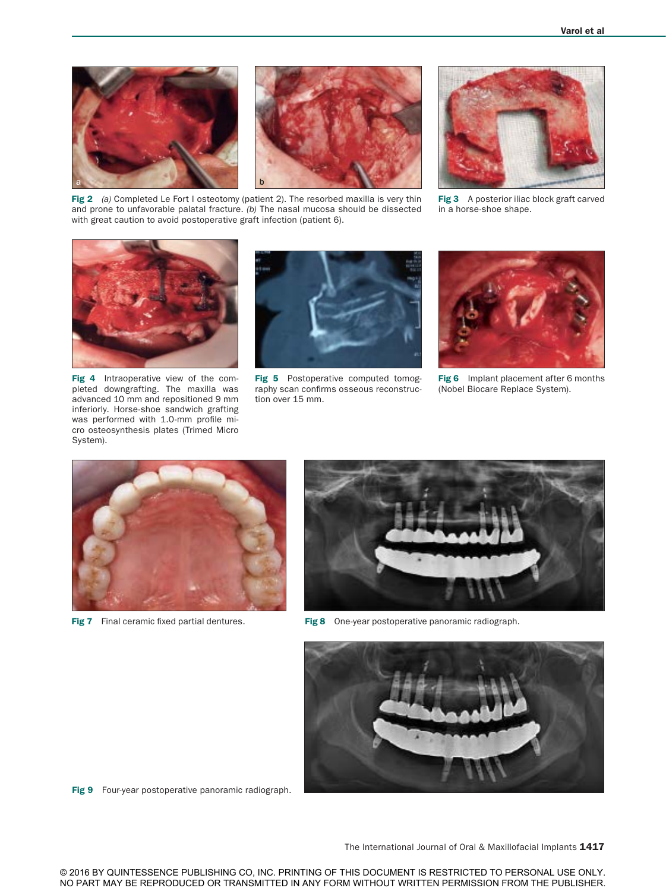



Fig 2 (a) Completed Le Fort I osteotomy (patient 2). The resorbed maxilla is very thin and prone to unfavorable palatal fracture. *(b)* The nasal mucosa should be dissected with great caution to avoid postoperative graft infection (patient 6).



Fig 3 A posterior iliac block graft carved in a horse-shoe shape.



Fig 4 Intraoperative view of the completed downgrafting. The maxilla was advanced 10 mm and repositioned 9 mm inferiorly. Horse-shoe sandwich grafting was performed with 1.0-mm profile micro osteosynthesis plates (Trimed Micro System).



Fig 5 Postoperative computed tomography scan confirms osseous reconstruction over 15 mm.



Fig 6 Implant placement after 6 months (Nobel Biocare Replace System).





Fig 7 Final ceramic fixed partial dentures. Fig 8 One-year postoperative panoramic radiograph.



Fig 9 Four-year postoperative panoramic radiograph.

The International Journal of Oral & Maxillofacial Implants 1417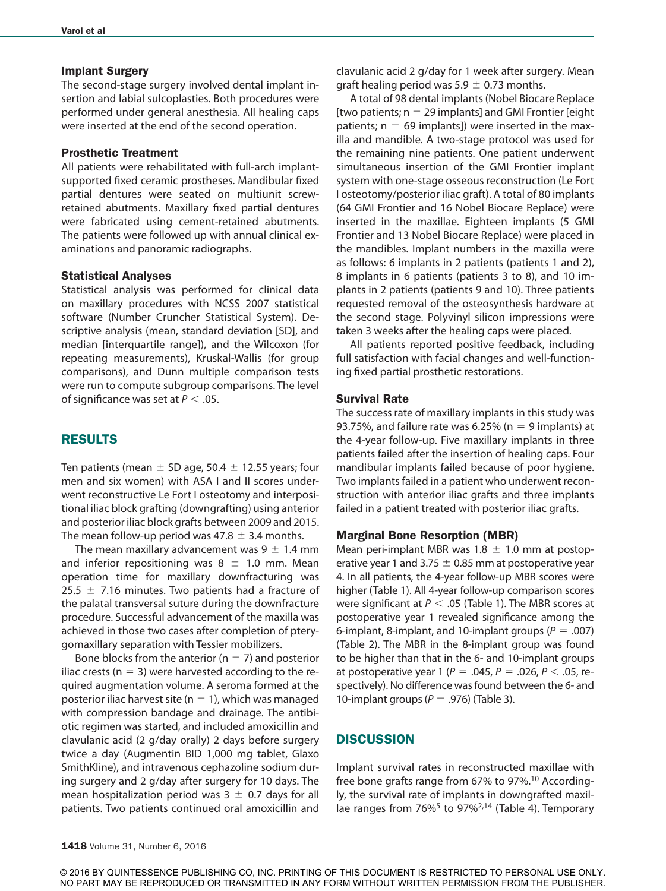### Implant Surgery

The second-stage surgery involved dental implant insertion and labial sulcoplasties. Both procedures were performed under general anesthesia. All healing caps were inserted at the end of the second operation.

## Prosthetic Treatment

All patients were rehabilitated with full-arch implantsupported fixed ceramic prostheses. Mandibular fixed partial dentures were seated on multiunit screwretained abutments. Maxillary fixed partial dentures were fabricated using cement-retained abutments. The patients were followed up with annual clinical examinations and panoramic radiographs.

### Statistical Analyses

Statistical analysis was performed for clinical data on maxillary procedures with NCSS 2007 statistical software (Number Cruncher Statistical System). Descriptive analysis (mean, standard deviation [SD], and median [interquartile range]), and the Wilcoxon (for repeating measurements), Kruskal-Wallis (for group comparisons), and Dunn multiple comparison tests were run to compute subgroup comparisons. The level of significance was set at *P* < .05.

## RESULTS

Ten patients (mean  $\pm$  SD age, 50.4  $\pm$  12.55 years; four men and six women) with ASA I and II scores underwent reconstructive Le Fort I osteotomy and interpositional iliac block grafting (downgrafting) using anterior and posterior iliac block grafts between 2009 and 2015. The mean follow-up period was 47.8  $\pm$  3.4 months.

The mean maxillary advancement was  $9 \pm 1.4$  mm and inferior repositioning was  $8 \pm 1.0$  mm. Mean operation time for maxillary downfracturing was 25.5  $\pm$  7.16 minutes. Two patients had a fracture of the palatal transversal suture during the downfracture procedure. Successful advancement of the maxilla was achieved in those two cases after completion of pterygomaxillary separation with Tessier mobilizers.

Bone blocks from the anterior ( $n = 7$ ) and posterior iliac crests ( $n = 3$ ) were harvested according to the required augmentation volume. A seroma formed at the posterior iliac harvest site ( $n = 1$ ), which was managed with compression bandage and drainage. The antibiotic regimen was started, and included amoxicillin and clavulanic acid (2 g/day orally) 2 days before surgery twice a day (Augmentin BID 1,000 mg tablet, Glaxo SmithKline), and intravenous cephazoline sodium during surgery and 2 g/day after surgery for 10 days. The mean hospitalization period was  $3 \pm 0.7$  days for all patients. Two patients continued oral amoxicillin and

clavulanic acid 2 g/day for 1 week after surgery. Mean graft healing period was 5.9  $\pm$  0.73 months.

A total of 98 dental implants (Nobel Biocare Replace [two patients;  $n = 29$  implants] and GMI Frontier [eight] patients;  $n = 69$  implants]) were inserted in the maxilla and mandible. A two-stage protocol was used for the remaining nine patients. One patient underwent simultaneous insertion of the GMI Frontier implant system with one-stage osseous reconstruction (Le Fort I osteotomy/posterior iliac graft). A total of 80 implants (64 GMI Frontier and 16 Nobel Biocare Replace) were inserted in the maxillae. Eighteen implants (5 GMI Frontier and 13 Nobel Biocare Replace) were placed in the mandibles. Implant numbers in the maxilla were as follows: 6 implants in 2 patients (patients 1 and 2), 8 implants in 6 patients (patients 3 to 8), and 10 implants in 2 patients (patients 9 and 10). Three patients requested removal of the osteosynthesis hardware at the second stage. Polyvinyl silicon impressions were taken 3 weeks after the healing caps were placed.

All patients reported positive feedback, including full satisfaction with facial changes and well-functioning fixed partial prosthetic restorations.

## Survival Rate

The success rate of maxillary implants in this study was 93.75%, and failure rate was 6.25% ( $n = 9$  implants) at the 4-year follow-up. Five maxillary implants in three patients failed after the insertion of healing caps. Four mandibular implants failed because of poor hygiene. Two implants failed in a patient who underwent reconstruction with anterior iliac grafts and three implants failed in a patient treated with posterior iliac grafts.

### Marginal Bone Resorption (MBR)

Mean peri-implant MBR was 1.8  $\pm$  1.0 mm at postoperative year 1 and 3.75  $\pm$  0.85 mm at postoperative year 4. In all patients, the 4-year follow-up MBR scores were higher (Table 1). All 4-year follow-up comparison scores were significant at *P* < .05 (Table 1). The MBR scores at postoperative year 1 revealed significance among the 6-implant, 8-implant, and 10-implant groups (*P* = .007) (Table 2). The MBR in the 8-implant group was found to be higher than that in the 6- and 10-implant groups at postoperative year 1 (*P* = .045, *P* = .026, *P* < .05, respectively). No difference was found between the 6- and 10-implant groups (*P* = .976) (Table 3).

## **DISCUSSION**

Implant survival rates in reconstructed maxillae with free bone grafts range from 67% to 97%.<sup>10</sup> Accordingly, the survival rate of implants in downgrafted maxillae ranges from  $76\%^5$  to 97%<sup>2,14</sup> (Table 4). Temporary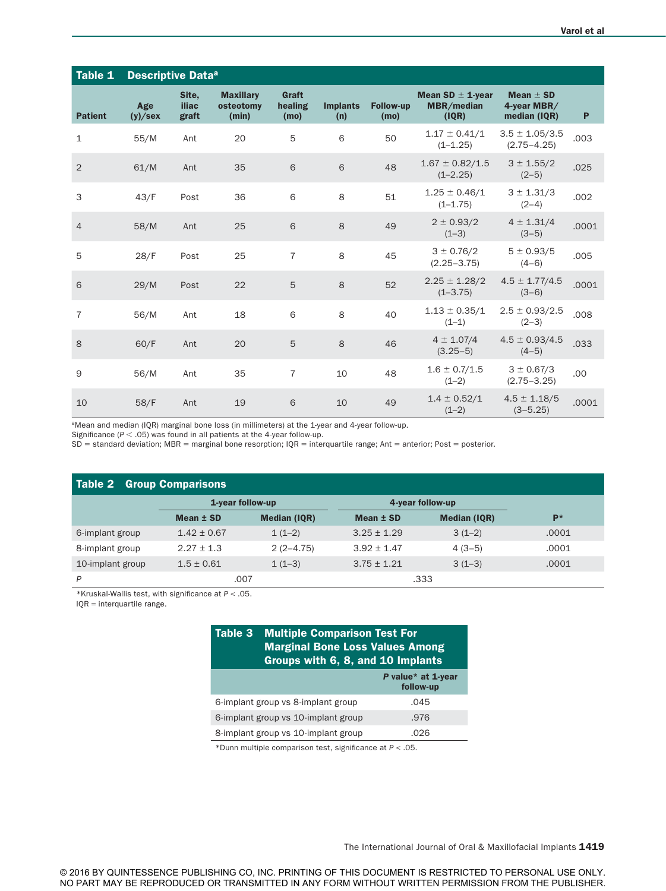| Table 1        | <b>Descriptive Dataa</b> |                         |                                        |                          |                        |                          |                                             |                                              |       |
|----------------|--------------------------|-------------------------|----------------------------------------|--------------------------|------------------------|--------------------------|---------------------------------------------|----------------------------------------------|-------|
| <b>Patient</b> | Age<br>(y)/sex           | Site.<br>iliac<br>graft | <b>Maxillary</b><br>osteotomy<br>(min) | Graft<br>healing<br>(mo) | <b>Implants</b><br>(n) | <b>Follow-up</b><br>(mo) | Mean SD $\pm$ 1-year<br>MBR/median<br>(IQR) | Mean $\pm$ SD<br>4-year MBR/<br>median (IQR) | P     |
| $\mathbf{1}$   | 55/M                     | Ant                     | 20                                     | 5                        | 6                      | 50                       | $1.17 \pm 0.41/1$<br>$(1 - 1.25)$           | $3.5 \pm 1.05/3.5$<br>$(2.75 - 4.25)$        | .003  |
| $\overline{2}$ | 61/M                     | Ant                     | 35                                     | 6                        | 6                      | 48                       | $1.67 \pm 0.82/1.5$<br>$(1 - 2.25)$         | $3 \pm 1.55/2$<br>$(2-5)$                    | .025  |
| 3              | 43/F                     | Post                    | 36                                     | 6                        | 8                      | 51                       | $1.25 \pm 0.46/1$<br>$(1 - 1.75)$           | $3 \pm 1.31/3$<br>$(2-4)$                    | .002  |
| $\overline{4}$ | 58/M                     | Ant                     | 25                                     | 6                        | 8                      | 49                       | $2 \pm 0.93/2$<br>$(1-3)$                   | $4 \pm 1.31/4$<br>$(3-5)$                    | .0001 |
| 5              | 28/F                     | Post                    | 25                                     | $\overline{7}$           | 8                      | 45                       | $3 \pm 0.76/2$<br>$(2.25 - 3.75)$           | $5 \pm 0.93/5$<br>$(4-6)$                    | .005  |
| 6              | 29/M                     | Post                    | 22                                     | 5                        | 8                      | 52                       | $2.25 \pm 1.28/2$<br>$(1 - 3.75)$           | $4.5 \pm 1.77/4.5$<br>$(3-6)$                | .0001 |
| $\overline{7}$ | 56/M                     | Ant                     | 18                                     | 6                        | 8                      | 40                       | $1.13 \pm 0.35/1$<br>$(1-1)$                | $2.5 \pm 0.93/2.5$<br>$(2-3)$                | .008  |
| 8              | 60/F                     | Ant                     | 20                                     | 5                        | 8                      | 46                       | $4 \pm 1.07/4$<br>$(3.25-5)$                | $4.5 \pm 0.93/4.5$<br>$(4-5)$                | .033  |
| 9              | 56/M                     | Ant                     | 35                                     | $\overline{7}$           | 10                     | 48                       | $1.6 \pm 0.7/1.5$<br>$(1-2)$                | $3 \pm 0.67/3$<br>$(2.75 - 3.25)$            | .00   |
| 10             | 58/F                     | Ant                     | 19                                     | 6                        | 10                     | 49                       | $1.4 \pm 0.52/1$<br>$(1-2)$                 | $4.5 \pm 1.18/5$<br>$(3 - 5.25)$             | .0001 |

aMean and median (IQR) marginal bone loss (in millimeters) at the 1-year and 4-year follow-up.

Significance  $(P < .05)$  was found in all patients at the 4-year follow-up.

 $SD =$  standard deviation; MBR = marginal bone resorption;  $IQR =$  interquartile range; Ant = anterior; Post = posterior.

| <b>Table 2 Group Comparisons</b> |                  |                     |                  |                     |       |  |  |  |  |
|----------------------------------|------------------|---------------------|------------------|---------------------|-------|--|--|--|--|
|                                  | 1-year follow-up |                     | 4-year follow-up |                     |       |  |  |  |  |
|                                  | Mean ± SD        | <b>Median (IQR)</b> | Mean ± SD        | <b>Median (IQR)</b> | $P*$  |  |  |  |  |
| 6-implant group                  | $1.42 \pm 0.67$  | $1(1-2)$            | $3.25 \pm 1.29$  | $3(1-2)$            | .0001 |  |  |  |  |
| 8-implant group                  | $2.27 + 1.3$     | $2(2-4.75)$         | $3.92 \pm 1.47$  | $4(3-5)$            | .0001 |  |  |  |  |
| 10-implant group                 | $1.5 \pm 0.61$   | $1(1-3)$            | $3.75 \pm 1.21$  | $3(1-3)$            | .0001 |  |  |  |  |
| P                                | .007             |                     |                  | .333                |       |  |  |  |  |

\*Kruskal-Wallis test, with significance at *P* < .05.

IQR = interquartile range.

# Table 3 Multiple Comparison Test For Marginal Bone Loss Values Among Groups with 6, 8, and 10 Implants

| $\frac{1}{2}$                       |                                 |  |  |  |  |
|-------------------------------------|---------------------------------|--|--|--|--|
|                                     | P value* at 1-year<br>follow-up |  |  |  |  |
| 6-implant group vs 8-implant group  | .045                            |  |  |  |  |
| 6-implant group vs 10-implant group | .976                            |  |  |  |  |
| 8-implant group vs 10-implant group | .026                            |  |  |  |  |

\*Dunn multiple comparison test, significance at *P* < .05.

The International Journal of Oral & Maxillofacial Implants 1419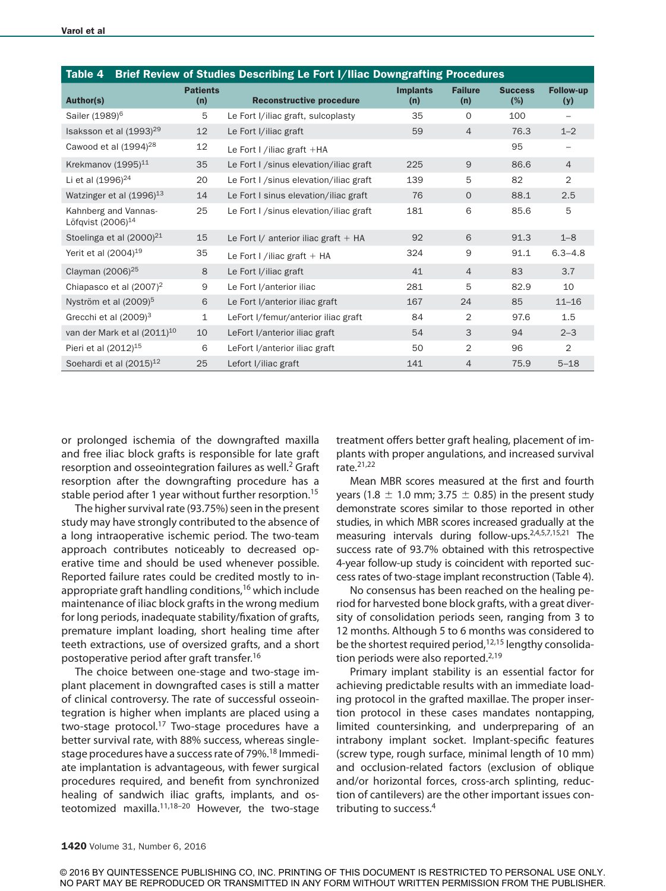| Table 4                                               |                        | Brief Review of Studies Describing Le Fort I/Iliac Downgrafting Procedures |                        |                       |                       |                         |
|-------------------------------------------------------|------------------------|----------------------------------------------------------------------------|------------------------|-----------------------|-----------------------|-------------------------|
| <b>Author(s)</b>                                      | <b>Patients</b><br>(n) | <b>Reconstructive procedure</b>                                            | <b>Implants</b><br>(n) | <b>Failure</b><br>(n) | <b>Success</b><br>(%) | <b>Follow-up</b><br>(y) |
| Sailer (1989) <sup>6</sup>                            | 5                      | Le Fort I/iliac graft, sulcoplasty                                         | 35                     | $\Omega$              | 100                   | $\qquad \qquad -$       |
| Isaksson et al $(1993)^{29}$                          | 12                     | Le Fort I/iliac graft                                                      | 59                     | $\overline{4}$        | 76.3                  | $1 - 2$                 |
| Cawood et al $(1994)^{28}$                            | 12                     | Le Fort I /iliac graft $+HA$                                               |                        |                       | 95                    |                         |
| Krekmanov (1995) <sup>11</sup>                        | 35                     | Le Fort I / sinus elevation/iliac graft                                    | 225                    | 9                     | 86.6                  | $\overline{4}$          |
| Li et al (1996) <sup>24</sup>                         | 20                     | Le Fort I / sinus elevation/iliac graft                                    | 139                    | 5                     | 82                    | $\overline{2}$          |
| Watzinger et al (1996) <sup>13</sup>                  | 14                     | Le Fort I sinus elevation/iliac graft                                      | 76                     | $\Omega$              | 88.1                  | 2.5                     |
| Kahnberg and Vannas-<br>Löfgvist (2006) <sup>14</sup> | 25                     | Le Fort I / sinus elevation/iliac graft                                    | 181                    | 6                     | 85.6                  | 5                       |
| Stoelinga et al (2000) <sup>21</sup>                  | 15                     | Le Fort I/ anterior iliac graft $+$ HA                                     | 92                     | 6                     | 91.3                  | $1 - 8$                 |
| Yerit et al $(2004)^{19}$                             | 35                     | Le Fort I /iliac graft $+$ HA                                              | 324                    | 9                     | 91.1                  | $6.3 - 4.8$             |
| Clayman (2006) <sup>25</sup>                          | 8                      | Le Fort I/iliac graft                                                      | 41                     | $\overline{4}$        | 83                    | 3.7                     |
| Chiapasco et al $(2007)^2$                            | 9                      | Le Fort I/anterior iliac                                                   | 281                    | 5                     | 82.9                  | 10                      |
| Nyström et al (2009) <sup>5</sup>                     | 6                      | Le Fort I/anterior iliac graft                                             | 167                    | 24                    | 85                    | $11 - 16$               |
| Grecchi et al $(2009)^3$                              | $\mathbf{1}$           | LeFort I/femur/anterior iliac graft                                        | 84                     | 2                     | 97.6                  | 1.5                     |
| van der Mark et al (2011) <sup>10</sup>               | 10                     | LeFort I/anterior iliac graft                                              | 54                     | 3                     | 94                    | $2 - 3$                 |
| Pieri et al $(2012)^{15}$                             | 6                      | LeFort I/anterior iliac graft                                              | 50                     | $\overline{2}$        | 96                    | $\overline{2}$          |
| Soehardi et al (2015) <sup>12</sup>                   | 25                     | Lefort I/iliac graft                                                       | 141                    | 4                     | 75.9                  | $5 - 18$                |

or prolonged ischemia of the downgrafted maxilla and free iliac block grafts is responsible for late graft resorption and osseointegration failures as well.<sup>2</sup> Graft resorption after the downgrafting procedure has a stable period after 1 year without further resorption.<sup>15</sup>

The higher survival rate (93.75%) seen in the present study may have strongly contributed to the absence of a long intraoperative ischemic period. The two-team approach contributes noticeably to decreased operative time and should be used whenever possible. Reported failure rates could be credited mostly to inappropriate graft handling conditions,16 which include maintenance of iliac block grafts in the wrong medium for long periods, inadequate stability/fixation of grafts, premature implant loading, short healing time after teeth extractions, use of oversized grafts, and a short postoperative period after graft transfer.16

The choice between one-stage and two-stage implant placement in downgrafted cases is still a matter of clinical controversy. The rate of successful osseointegration is higher when implants are placed using a two-stage protocol.<sup>17</sup> Two-stage procedures have a better survival rate, with 88% success, whereas singlestage procedures have a success rate of 79%.<sup>18</sup> Immediate implantation is advantageous, with fewer surgical procedures required, and benefit from synchronized healing of sandwich iliac grafts, implants, and osteotomized maxilla. $11,18-20$  However, the two-stage treatment offers better graft healing, placement of implants with proper angulations, and increased survival rate.21,22

Mean MBR scores measured at the first and fourth years (1.8  $\pm$  1.0 mm; 3.75  $\pm$  0.85) in the present study demonstrate scores similar to those reported in other studies, in which MBR scores increased gradually at the measuring intervals during follow-ups.<sup>2,4,5,7,15,21</sup> The success rate of 93.7% obtained with this retrospective 4-year follow-up study is coincident with reported success rates of two-stage implant reconstruction (Table 4).

No consensus has been reached on the healing period for harvested bone block grafts, with a great diversity of consolidation periods seen, ranging from 3 to 12 months. Although 5 to 6 months was considered to be the shortest required period,<sup>12,15</sup> lengthy consolidation periods were also reported.<sup>2,19</sup>

Primary implant stability is an essential factor for achieving predictable results with an immediate loading protocol in the grafted maxillae. The proper insertion protocol in these cases mandates nontapping, limited countersinking, and underpreparing of an intrabony implant socket. Implant-specific features (screw type, rough surface, minimal length of 10 mm) and occlusion-related factors (exclusion of oblique and/or horizontal forces, cross-arch splinting, reduction of cantilevers) are the other important issues contributing to success.4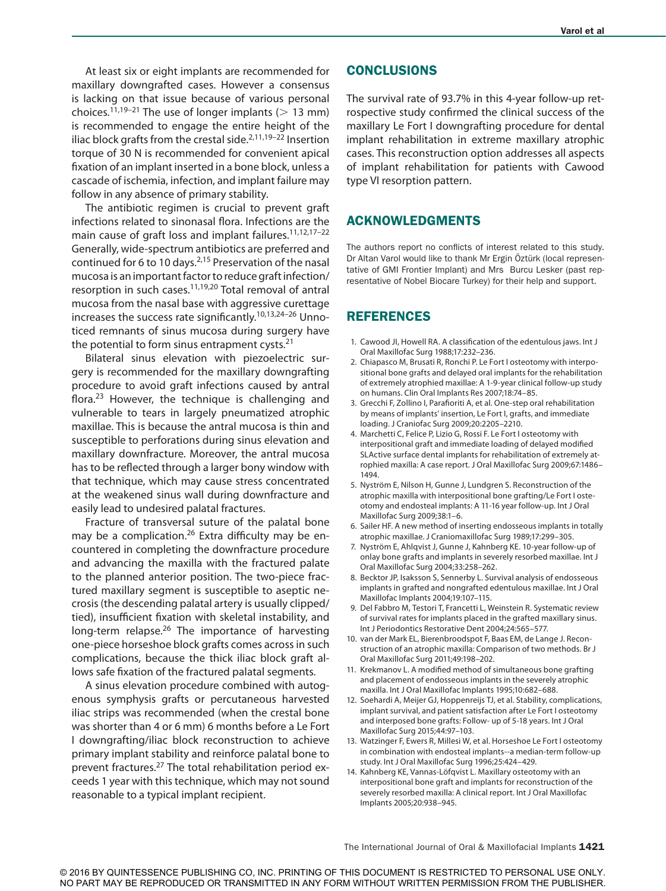At least six or eight implants are recommended for maxillary downgrafted cases. However a consensus is lacking on that issue because of various personal choices.<sup>11,19–21</sup> The use of longer implants ( $> 13$  mm) is recommended to engage the entire height of the iliac block grafts from the crestal side. $2,11,19-22$  Insertion torque of 30 N is recommended for convenient apical fixation of an implant inserted in a bone block, unless a cascade of ischemia, infection, and implant failure may follow in any absence of primary stability.

The antibiotic regimen is crucial to prevent graft infections related to sinonasal flora. Infections are the main cause of graft loss and implant failures.<sup>11,12,17-22</sup> Generally, wide-spectrum antibiotics are preferred and continued for 6 to 10 days.<sup>2,15</sup> Preservation of the nasal mucosa is an important factor to reduce graft infection/ resorption in such cases.11,19,20 Total removal of antral mucosa from the nasal base with aggressive curettage increases the success rate significantly.10,13,24–26 Unnoticed remnants of sinus mucosa during surgery have the potential to form sinus entrapment cysts. $21$ 

Bilateral sinus elevation with piezoelectric surgery is recommended for the maxillary downgrafting procedure to avoid graft infections caused by antral flora.<sup>23</sup> However, the technique is challenging and vulnerable to tears in largely pneumatized atrophic maxillae. This is because the antral mucosa is thin and susceptible to perforations during sinus elevation and maxillary downfracture. Moreover, the antral mucosa has to be reflected through a larger bony window with that technique, which may cause stress concentrated at the weakened sinus wall during downfracture and easily lead to undesired palatal fractures.

Fracture of transversal suture of the palatal bone may be a complication.<sup>26</sup> Extra difficulty may be encountered in completing the downfracture procedure and advancing the maxilla with the fractured palate to the planned anterior position. The two-piece fractured maxillary segment is susceptible to aseptic necrosis (the descending palatal artery is usually clipped/ tied), insufficient fixation with skeletal instability, and long-term relapse.<sup>26</sup> The importance of harvesting one-piece horseshoe block grafts comes across in such complications, because the thick iliac block graft allows safe fixation of the fractured palatal segments.

A sinus elevation procedure combined with autogenous symphysis grafts or percutaneous harvested iliac strips was recommended (when the crestal bone was shorter than 4 or 6 mm) 6 months before a Le Fort I downgrafting/iliac block reconstruction to achieve primary implant stability and reinforce palatal bone to prevent fractures.<sup>27</sup> The total rehabilitation period exceeds 1 year with this technique, which may not sound reasonable to a typical implant recipient.

# **CONCLUSIONS**

The survival rate of 93.7% in this 4-year follow-up retrospective study confirmed the clinical success of the maxillary Le Fort I downgrafting procedure for dental implant rehabilitation in extreme maxillary atrophic cases. This reconstruction option addresses all aspects of implant rehabilitation for patients with Cawood type VI resorption pattern.

# ACKNOWLEDGMENTS

The authors report no conflicts of interest related to this study. Dr Altan Varol would like to thank Mr Ergin Öztürk (local representative of GMI Frontier Implant) and Mrs Burcu Lesker (past representative of Nobel Biocare Turkey) for their help and support.

# **REFERENCES**

- 1. Cawood JI, Howell RA. A classification of the edentulous jaws. Int J Oral Maxillofac Surg 1988;17:232–236.
- 2. Chiapasco M, Brusati R, Ronchi P. Le Fort I osteotomy with interpositional bone grafts and delayed oral implants for the rehabilitation of extremely atrophied maxillae: A 1-9-year clinical follow-up study on humans. Clin Oral Implants Res 2007;18:74–85.
- 3. Grecchi F, Zollino I, Parafioriti A, et al. One-step oral rehabilitation by means of implants' insertion, Le Fort I, grafts, and immediate loading. J Craniofac Surg 2009;20:2205–2210.
- 4. Marchetti C, Felice P, Lizio G, Rossi F. Le Fort I osteotomy with interpositional graft and immediate loading of delayed modified SLActive surface dental implants for rehabilitation of extremely atrophied maxilla: A case report. J Oral Maxillofac Surg 2009;67:1486– 1494.
- 5. Nyström E, Nilson H, Gunne J, Lundgren S. Reconstruction of the atrophic maxilla with interpositional bone grafting/Le Fort I osteotomy and endosteal implants: A 11-16 year follow-up. Int J Oral Maxillofac Surg 2009;38:1–6.
- 6. Sailer HF. A new method of inserting endosseous implants in totally atrophic maxillae. J Craniomaxillofac Surg 1989;17:299–305.
- 7. Nyström E, Ahlqvist J, Gunne J, Kahnberg KE. 10-year follow-up of onlay bone grafts and implants in severely resorbed maxillae. Int J Oral Maxillofac Surg 2004;33:258–262.
- 8. Becktor JP, Isaksson S, Sennerby L. Survival analysis of endosseous implants in grafted and nongrafted edentulous maxillae. Int J Oral Maxillofac Implants 2004;19:107–115.
- 9. Del Fabbro M, Testori T, Francetti L, Weinstein R. Systematic review of survival rates for implants placed in the grafted maxillary sinus. Int J Periodontics Restorative Dent 2004;24:565–577.
- 10. van der Mark EL, Bierenbroodspot F, Baas EM, de Lange J. Reconstruction of an atrophic maxilla: Comparison of two methods. Br J Oral Maxillofac Surg 2011;49:198–202.
- 11. Krekmanov L. A modified method of simultaneous bone grafting and placement of endosseous implants in the severely atrophic maxilla. Int J Oral Maxillofac Implants 1995;10:682–688.
- 12. Soehardi A, Meijer GJ, Hoppenreijs TJ, et al. Stability, complications, implant survival, and patient satisfaction after Le Fort I osteotomy and interposed bone grafts: Follow- up of 5-18 years. Int J Oral Maxillofac Surg 2015;44:97–103.
- 13. Watzinger F, Ewers R, Millesi W, et al. Horseshoe Le Fort I osteotomy in combination with endosteal implants--a median-term follow-up study. Int J Oral Maxillofac Surg 1996;25:424–429.
- 14. Kahnberg KE, Vannas-Löfqvist L. Maxillary osteotomy with an interpositional bone graft and implants for reconstruction of the severely resorbed maxilla: A clinical report. Int J Oral Maxillofac Implants 2005;20:938–945.

The International Journal of Oral & Maxillofacial Implants 1421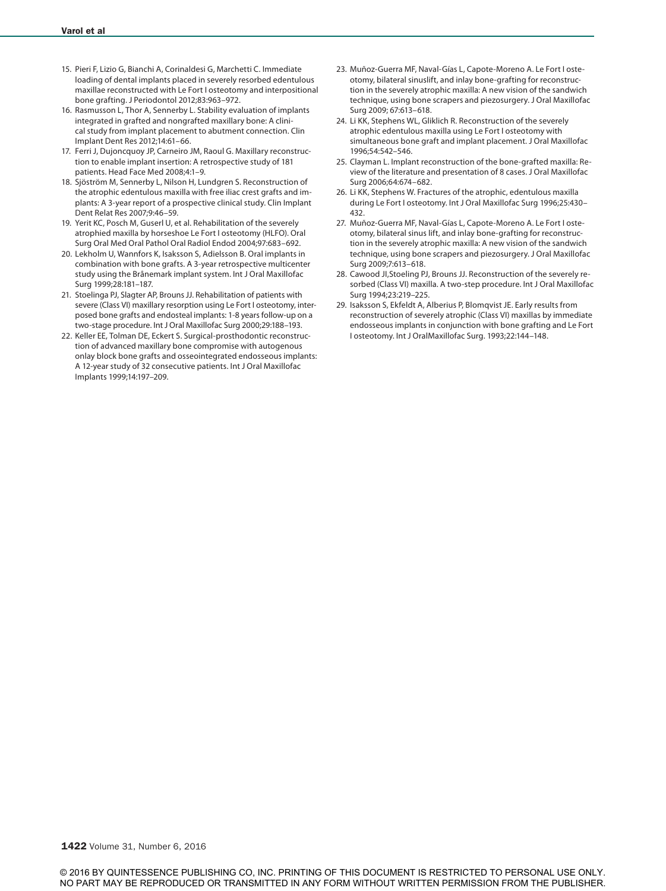- 15. Pieri F, Lizio G, Bianchi A, Corinaldesi G, Marchetti C. Immediate loading of dental implants placed in severely resorbed edentulous maxillae reconstructed with Le Fort I osteotomy and interpositional bone grafting. J Periodontol 2012;83:963–972.
- 16. Rasmusson L, Thor A, Sennerby L. Stability evaluation of implants integrated in grafted and nongrafted maxillary bone: A clinical study from implant placement to abutment connection. Clin Implant Dent Res 2012;14:61–66.
- 17. Ferri J, Dujoncquoy JP, Carneiro JM, Raoul G. Maxillary reconstruction to enable implant insertion: A retrospective study of 181 patients. Head Face Med 2008;4:1–9.
- 18. Sjöström M, Sennerby L, Nilson H, Lundgren S. Reconstruction of the atrophic edentulous maxilla with free iliac crest grafts and implants: A 3-year report of a prospective clinical study. Clin Implant Dent Relat Res 2007;9:46–59.
- 19. Yerit KC, Posch M, Guserl U, et al. Rehabilitation of the severely atrophied maxilla by horseshoe Le Fort I osteotomy (HLFO). Oral Surg Oral Med Oral Pathol Oral Radiol Endod 2004;97:683–692.
- 20. Lekholm U, Wannfors K, Isaksson S, Adielsson B. Oral implants in combination with bone grafts. A 3-year retrospective multicenter study using the Brånemark implant system. Int J Oral Maxillofac Surg 1999;28:181–187.
- 21. Stoelinga PJ, Slagter AP, Brouns JJ. Rehabilitation of patients with severe (Class VI) maxillary resorption using Le Fort I osteotomy, interposed bone grafts and endosteal implants: 1-8 years follow-up on a two-stage procedure. Int J Oral Maxillofac Surg 2000;29:188–193.
- 22. Keller EE, Tolman DE, Eckert S. Surgical-prosthodontic reconstruction of advanced maxillary bone compromise with autogenous onlay block bone grafts and osseointegrated endosseous implants: A 12-year study of 32 consecutive patients. Int J Oral Maxillofac Implants 1999;14:197–209.
- 23. Muñoz-Guerra MF, Naval-Gías L, Capote-Moreno A. Le Fort I osteotomy, bilateral sinuslift, and inlay bone-grafting for reconstruction in the severely atrophic maxilla: A new vision of the sandwich technique, using bone scrapers and piezosurgery. J Oral Maxillofac Surg 2009; 67:613–618.
- 24. Li KK, Stephens WL, Gliklich R. Reconstruction of the severely atrophic edentulous maxilla using Le Fort I osteotomy with simultaneous bone graft and implant placement. J Oral Maxillofac 1996;54:542–546.
- 25. Clayman L. Implant reconstruction of the bone-grafted maxilla: Review of the literature and presentation of 8 cases. J Oral Maxillofac Surg 2006;64:674–682.
- 26. Li KK, Stephens W. Fractures of the atrophic, edentulous maxilla during Le Fort I osteotomy. Int J Oral Maxillofac Surg 1996;25:430– 432.
- 27. Muñoz-Guerra MF, Naval-Gías L, Capote-Moreno A. Le Fort I osteotomy, bilateral sinus lift, and inlay bone-grafting for reconstruction in the severely atrophic maxilla: A new vision of the sandwich technique, using bone scrapers and piezosurgery. J Oral Maxillofac Surg 2009;7:613–618.
- 28. Cawood JI,Stoeling PJ, Brouns JJ. Reconstruction of the severely resorbed (Class VI) maxilla. A two-step procedure. Int J Oral Maxillofac Surg 1994;23:219–225.
- 29. Isaksson S, Ekfeldt A, Alberius P, Blomqvist JE. Early results from reconstruction of severely atrophic (Class VI) maxillas by immediate endosseous implants in conjunction with bone grafting and Le Fort I osteotomy. Int J OralMaxillofac Surg. 1993;22:144–148.